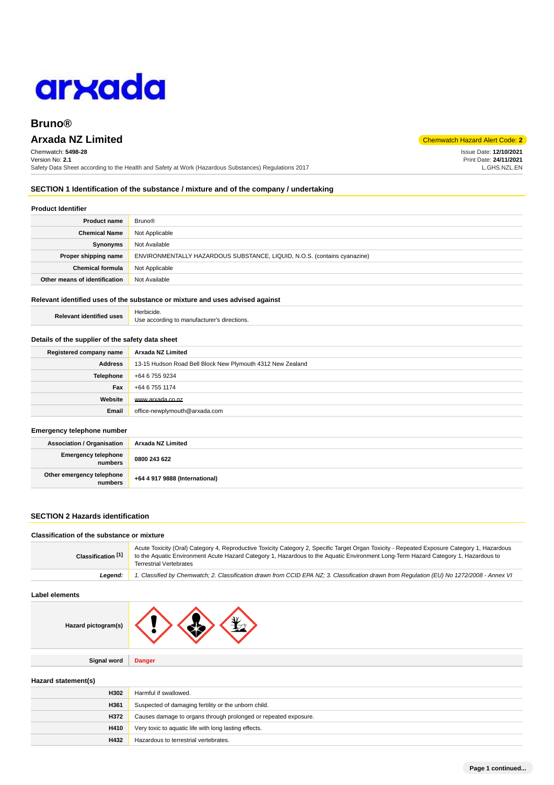

# **Bruno®**

Chemwatch: **5498-28** Version No: **2.1** Safety Data Sheet according to the Health and Safety at Work (Hazardous Substances) Regulations 2017

# **SECTION 1 Identification of the substance / mixture and of the company / undertaking**

### **Product Identifier**

| <b>Product name</b>           | <b>Bruno®</b>                                                            |
|-------------------------------|--------------------------------------------------------------------------|
| <b>Chemical Name</b>          | Not Applicable                                                           |
| <b>Synonyms</b>               | Not Available                                                            |
| Proper shipping name          | ENVIRONMENTALLY HAZARDOUS SUBSTANCE, LIQUID, N.O.S. (contains cyanazine) |
| <b>Chemical formula</b>       | Not Applicable                                                           |
| Other means of identification | Not Available                                                            |

# **Relevant identified uses of the substance or mixture and uses advised against**

| <b>Relevant identified uses</b> | Herbicide.                                  |
|---------------------------------|---------------------------------------------|
|                                 | Use according to manufacturer's directions. |

#### **Details of the supplier of the safety data sheet**

| Registered company name | Arxada NZ Limited                                          |
|-------------------------|------------------------------------------------------------|
| <b>Address</b>          | 13-15 Hudson Road Bell Block New Plymouth 4312 New Zealand |
| <b>Telephone</b>        | +64 6 755 9234                                             |
| Fax                     | +64 6 755 1174                                             |
| Website                 | www.arxada.co.nz                                           |
| Email                   | office-newplymouth@arxada.com                              |

#### **Emergency telephone number**

| <b>Association / Organisation</b>    | Arxada NZ Limited              |
|--------------------------------------|--------------------------------|
| Emergency telephone<br>numbers       | 0800 243 622                   |
| Other emergency telephone<br>numbers | +64 4 917 9888 (International) |

## **SECTION 2 Hazards identification**

### **Classification of the substance or mixture**

| Classification [1] | Acute Toxicity (Oral) Category 4, Reproductive Toxicity Category 2, Specific Target Organ Toxicity - Repeated Exposure Category 1, Hazardous<br>to the Aquatic Environment Acute Hazard Category 1, Hazardous to the Aquatic Environment Long-Term Hazard Category 1, Hazardous to<br><b>Terrestrial Vertebrates</b> |
|--------------------|----------------------------------------------------------------------------------------------------------------------------------------------------------------------------------------------------------------------------------------------------------------------------------------------------------------------|
| Leaend:            | 1. Classified by Chemwatch; 2. Classification drawn from CCID EPA NZ; 3. Classification drawn from Regulation (EU) No 1272/2008 - Annex VI                                                                                                                                                                           |

### **Label elements**

| Hazard pictogram(s) |  |  |  |
|---------------------|--|--|--|
|---------------------|--|--|--|

**Signal word Danger**

# **Hazard statement(s)**

| H302 | Harmful if swallowed.                                           |
|------|-----------------------------------------------------------------|
| H361 | Suspected of damaging fertility or the unborn child.            |
| H372 | Causes damage to organs through prolonged or repeated exposure. |
| H410 | Very toxic to aquatic life with long lasting effects.           |
| H432 | Hazardous to terrestrial vertebrates.                           |

**Arxada NZ Limited** Chemwatch Hazard Alert Code: **2** 

Issue Date: **12/10/2021** Print Date: **24/11/2021** L.GHS.NZL.EN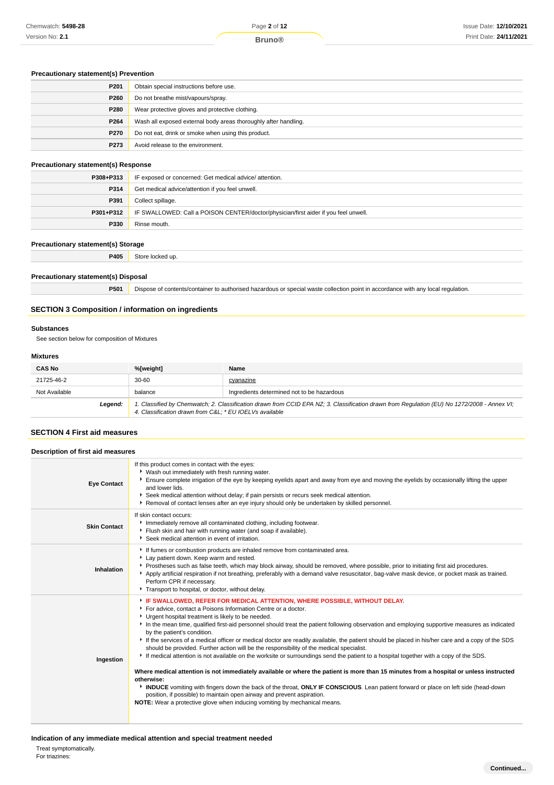# **Precautionary statement(s) Prevention**

| P <sub>201</sub> | Obtain special instructions before use.                         |
|------------------|-----------------------------------------------------------------|
| P260             | Do not breathe mist/vapours/spray.                              |
| P280             | Wear protective gloves and protective clothing.                 |
| P264             | Wash all exposed external body areas thoroughly after handling. |
| P270             | Do not eat, drink or smoke when using this product.             |
| P273             | Avoid release to the environment.                               |

# **Precautionary statement(s) Response**

| P308+P313     | IF exposed or concerned: Get medical advice/attention.                              |
|---------------|-------------------------------------------------------------------------------------|
| P314          | Get medical advice/attention if you feel unwell.                                    |
| P391          | Collect spillage.                                                                   |
| $P301 + P312$ | IF SWALLOWED: Call a POISON CENTER/doctor/physician/first aider if you feel unwell. |
| P330          | Rinse mouth.                                                                        |

# **Precautionary statement(s) Storage**

**P405** Store locked up.

**Precautionary statement(s) Disposal**

**P501** Dispose of contents/container to authorised hazardous or special waste collection point in accordance with any local regulation.

# **SECTION 3 Composition / information on ingredients**

# **Substances**

See section below for composition of Mixtures

# **Mixtures**

| <b>CAS No</b> | %[weight]                                                                                                                                                                                             | Name                                       |
|---------------|-------------------------------------------------------------------------------------------------------------------------------------------------------------------------------------------------------|--------------------------------------------|
| 21725-46-2    | $30 - 60$                                                                                                                                                                                             | cvanazine                                  |
| Not Available | balance                                                                                                                                                                                               | Ingredients determined not to be hazardous |
| Leaend:       | 1. Classified by Chemwatch; 2. Classification drawn from CCID EPA NZ; 3. Classification drawn from Regulation (EU) No 1272/2008 - Annex VI;<br>4. Classification drawn from C&L * EU IOELVs available |                                            |

### **SECTION 4 First aid measures**

| Description of first aid measures |                                                                                                                                                                                                                                                                                                                                                                                                                                                                                                                                                                                                                                                                                                                                                                                                                                                                                                                                                                                                                                                                                                                                                                                                                                 |  |  |
|-----------------------------------|---------------------------------------------------------------------------------------------------------------------------------------------------------------------------------------------------------------------------------------------------------------------------------------------------------------------------------------------------------------------------------------------------------------------------------------------------------------------------------------------------------------------------------------------------------------------------------------------------------------------------------------------------------------------------------------------------------------------------------------------------------------------------------------------------------------------------------------------------------------------------------------------------------------------------------------------------------------------------------------------------------------------------------------------------------------------------------------------------------------------------------------------------------------------------------------------------------------------------------|--|--|
| <b>Eye Contact</b>                | If this product comes in contact with the eyes:<br>• Wash out immediately with fresh running water.<br>Ensure complete irrigation of the eye by keeping eyelids apart and away from eye and moving the eyelids by occasionally lifting the upper<br>and lower lids.<br>Seek medical attention without delay; if pain persists or recurs seek medical attention.<br>▶ Removal of contact lenses after an eye injury should only be undertaken by skilled personnel.                                                                                                                                                                                                                                                                                                                                                                                                                                                                                                                                                                                                                                                                                                                                                              |  |  |
| <b>Skin Contact</b>               | If skin contact occurs:<br>Inmediately remove all contaminated clothing, including footwear.<br>Flush skin and hair with running water (and soap if available).<br>▶ Seek medical attention in event of irritation.                                                                                                                                                                                                                                                                                                                                                                                                                                                                                                                                                                                                                                                                                                                                                                                                                                                                                                                                                                                                             |  |  |
| Inhalation                        | If fumes or combustion products are inhaled remove from contaminated area.<br>Lay patient down. Keep warm and rested.<br>▶ Prostheses such as false teeth, which may block airway, should be removed, where possible, prior to initiating first aid procedures.<br>Apply artificial respiration if not breathing, preferably with a demand valve resuscitator, bag-valve mask device, or pocket mask as trained.<br>Perform CPR if necessary.<br>Transport to hospital, or doctor, without delay.                                                                                                                                                                                                                                                                                                                                                                                                                                                                                                                                                                                                                                                                                                                               |  |  |
| Ingestion                         | F IF SWALLOWED, REFER FOR MEDICAL ATTENTION, WHERE POSSIBLE, WITHOUT DELAY.<br>For advice, contact a Poisons Information Centre or a doctor.<br>Urgent hospital treatment is likely to be needed.<br>In the mean time, qualified first-aid personnel should treat the patient following observation and employing supportive measures as indicated<br>by the patient's condition.<br>If the services of a medical officer or medical doctor are readily available, the patient should be placed in his/her care and a copy of the SDS<br>should be provided. Further action will be the responsibility of the medical specialist.<br>If medical attention is not available on the worksite or surroundings send the patient to a hospital together with a copy of the SDS.<br>Where medical attention is not immediately available or where the patient is more than 15 minutes from a hospital or unless instructed<br>otherwise:<br>INDUCE vomiting with fingers down the back of the throat, ONLY IF CONSCIOUS. Lean patient forward or place on left side (head-down<br>position, if possible) to maintain open airway and prevent aspiration.<br>NOTE: Wear a protective glove when inducing vomiting by mechanical means. |  |  |

Treat symptomatically.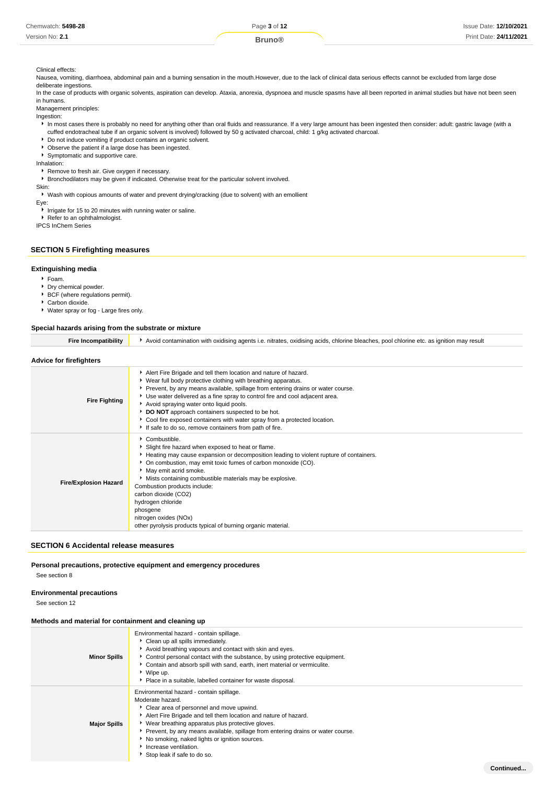| Chemwatch: 5498-28 | Page 3 of 12              | Issue Date: 12/10/2021 |
|--------------------|---------------------------|------------------------|
| Version No: 2.1    | $\mathsf{IIno}\mathsf{R}$ | Print Date: 24/11/2021 |

#### Clinical effects:

Nausea, vomiting, diarrhoea, abdominal pain and a burning sensation in the mouth.However, due to the lack of clinical data serious effects cannot be excluded from large dose deliberate ingestions.

In the case of products with organic solvents, aspiration can develop. Ataxia, anorexia, dyspnoea and muscle spasms have all been reported in animal studies but have not been seen in humans.

Management principles:

Ingestion:

In most cases there is probably no need for anything other than oral fluids and reassurance. If a very large amount has been ingested then consider: adult: gastric lavage (with a cuffed endotracheal tube if an organic solvent is involved) followed by 50 g activated charcoal, child: 1 g/kg activated charcoal.

Do not induce vomiting if product contains an organic solvent.

Observe the patient if a large dose has been ingested.

Symptomatic and supportive care.

Inhalation:

**Remove to fresh air. Give oxygen if necessary.** 

Bronchodilators may be given if indicated. Otherwise treat for the particular solvent involved.

Wash with copious amounts of water and prevent drying/cracking (due to solvent) with an emollient

Eye:

Skin:

Irrigate for 15 to 20 minutes with running water or saline.

 $\blacktriangleright$  Refer to an ophthalmologist.

IPCS InChem Series

# **SECTION 5 Firefighting measures**

### **Extinguishing media**

#### Foam.

- **Dry chemical powder.**
- **BCF** (where regulations permit).
- Carbon dioxide.

Water spray or fog - Large fires only.

#### **Special hazards arising from the substrate or mixture**

| Avoid contamination with oxidising agents i.e. nitrates, oxidising acids, chlorine bleaches, pool chlorine etc. as ignition may result<br>Fire Incompatibility |  |
|----------------------------------------------------------------------------------------------------------------------------------------------------------------|--|
|----------------------------------------------------------------------------------------------------------------------------------------------------------------|--|

| <b>Advice for firefighters</b> |                                                                                                                                                                                                                                                                                                                                                                                                                                                                                                                                             |
|--------------------------------|---------------------------------------------------------------------------------------------------------------------------------------------------------------------------------------------------------------------------------------------------------------------------------------------------------------------------------------------------------------------------------------------------------------------------------------------------------------------------------------------------------------------------------------------|
| <b>Fire Fighting</b>           | Alert Fire Brigade and tell them location and nature of hazard.<br>► Wear full body protective clothing with breathing apparatus.<br>Prevent, by any means available, spillage from entering drains or water course.<br>▶ Use water delivered as a fine spray to control fire and cool adjacent area.<br>Avoid spraying water onto liquid pools.<br>DO NOT approach containers suspected to be hot.<br>▶ Cool fire exposed containers with water spray from a protected location.<br>If safe to do so, remove containers from path of fire. |
| <b>Fire/Explosion Hazard</b>   | Combustible.<br>Slight fire hazard when exposed to heat or flame.<br>Heating may cause expansion or decomposition leading to violent rupture of containers.<br>• On combustion, may emit toxic fumes of carbon monoxide (CO).<br>May emit acrid smoke.<br>Mists containing combustible materials may be explosive.<br>Combustion products include:<br>carbon dioxide (CO2)<br>hydrogen chloride<br>phosgene<br>nitrogen oxides (NOx)<br>other pyrolysis products typical of burning organic material.                                       |

### **SECTION 6 Accidental release measures**

### **Personal precautions, protective equipment and emergency procedures**

See section 8

**Environmental precautions**

See section 12

#### **Methods and material for containment and cleaning up**

| <b>Minor Spills</b> | Environmental hazard - contain spillage.<br>Clean up all spills immediately.<br>Avoid breathing vapours and contact with skin and eyes.<br>Control personal contact with the substance, by using protective equipment.<br>Contain and absorb spill with sand, earth, inert material or vermiculite.<br>▶ Wipe up.<br>• Place in a suitable, labelled container for waste disposal.                                            |           |
|---------------------|-------------------------------------------------------------------------------------------------------------------------------------------------------------------------------------------------------------------------------------------------------------------------------------------------------------------------------------------------------------------------------------------------------------------------------|-----------|
| <b>Major Spills</b> | Environmental hazard - contain spillage.<br>Moderate hazard.<br>Clear area of personnel and move upwind.<br>Alert Fire Brigade and tell them location and nature of hazard.<br>▶ Wear breathing apparatus plus protective gloves.<br>Prevent, by any means available, spillage from entering drains or water course.<br>No smoking, naked lights or ignition sources.<br>Increase ventilation.<br>Stop leak if safe to do so. |           |
|                     |                                                                                                                                                                                                                                                                                                                                                                                                                               | Continued |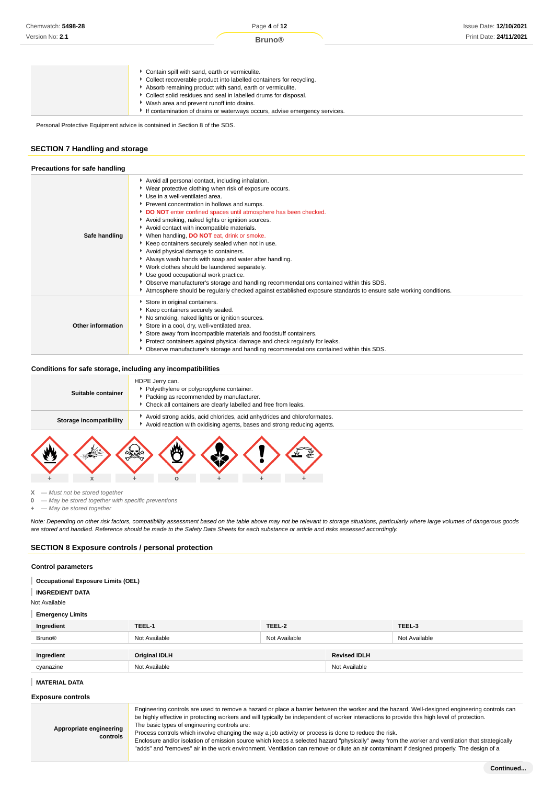|  |  |  |  |  |  |  | Contain spill with sand, earth or vermiculite. |
|--|--|--|--|--|--|--|------------------------------------------------|
|--|--|--|--|--|--|--|------------------------------------------------|

Collect recoverable product into labelled containers for recycling.

- Absorb remaining product with sand, earth or vermiculite.
- Collect solid residues and seal in labelled drums for disposal.
- Wash area and prevent runoff into drains.
- If contamination of drains or waterways occurs, advise emergency services.

Personal Protective Equipment advice is contained in Section 8 of the SDS.

# **SECTION 7 Handling and storage**

| Precautions for safe handling |                                                                                                                                                                                                                                                                                                                                                                                                                                                                                                                                                                                                                                                                                                                                                                                                                                                                                    |
|-------------------------------|------------------------------------------------------------------------------------------------------------------------------------------------------------------------------------------------------------------------------------------------------------------------------------------------------------------------------------------------------------------------------------------------------------------------------------------------------------------------------------------------------------------------------------------------------------------------------------------------------------------------------------------------------------------------------------------------------------------------------------------------------------------------------------------------------------------------------------------------------------------------------------|
| Safe handling                 | Avoid all personal contact, including inhalation.<br>▶ Wear protective clothing when risk of exposure occurs.<br>Use in a well-ventilated area.<br>Prevent concentration in hollows and sumps.<br>DO NOT enter confined spaces until atmosphere has been checked.<br>Avoid smoking, naked lights or ignition sources.<br>Avoid contact with incompatible materials.<br>▶ When handling, DO NOT eat, drink or smoke.<br>Keep containers securely sealed when not in use.<br>Avoid physical damage to containers.<br>Always wash hands with soap and water after handling.<br>• Work clothes should be laundered separately.<br>Use good occupational work practice.<br>▶ Observe manufacturer's storage and handling recommendations contained within this SDS.<br>Atmosphere should be regularly checked against established exposure standards to ensure safe working conditions. |
| Other information             | Store in original containers.<br>Keep containers securely sealed.<br>No smoking, naked lights or ignition sources.<br>Store in a cool, dry, well-ventilated area.<br>Store away from incompatible materials and foodstuff containers.<br>▶ Protect containers against physical damage and check regularly for leaks.<br>▶ Observe manufacturer's storage and handling recommendations contained within this SDS.                                                                                                                                                                                                                                                                                                                                                                                                                                                                   |

#### **Conditions for safe storage, including any incompatibilities**

| Suitable container<br>Storage incompatibility | HDPE Jerry can.<br>• Polyethylene or polypropylene container.<br>Packing as recommended by manufacturer.<br>• Check all containers are clearly labelled and free from leaks.<br>Avoid strong acids, acid chlorides, acid anhydrides and chloroformates. |  |  |                                                                         |  |
|-----------------------------------------------|---------------------------------------------------------------------------------------------------------------------------------------------------------------------------------------------------------------------------------------------------------|--|--|-------------------------------------------------------------------------|--|
|                                               |                                                                                                                                                                                                                                                         |  |  | Avoid reaction with oxidising agents, bases and strong reducing agents. |  |
|                                               |                                                                                                                                                                                                                                                         |  |  |                                                                         |  |



**X** — Must not be stored together

**0** — May be stored together with specific preventions

**+** — May be stored together

Note: Depending on other risk factors, compatibility assessment based on the table above may not be relevant to storage situations, particularly where large volumes of dangerous goods are stored and handled. Reference should be made to the Safety Data Sheets for each substance or article and risks assessed accordingly.

### **SECTION 8 Exposure controls / personal protection**

#### **Control parameters**

| <b>Occupational Exposure Limits (OEL)</b> |  |  |  |
|-------------------------------------------|--|--|--|
|-------------------------------------------|--|--|--|

**Appropriate engineering**

**controls**

#### **INGREDIENT DATA** ī

Not Available

### **Emergency Limits**

| Ingredient    | TEEL-1        | TEEL-2        |                     | TEEL-3        |
|---------------|---------------|---------------|---------------------|---------------|
| <b>Bruno®</b> | Not Available | Not Available |                     | Not Available |
| Ingredient    | Original IDLH |               | <b>Revised IDLH</b> |               |
| cyanazine     | Not Available |               | Not Available       |               |

#### I **MATERIAL DATA**

Engineering controls are used to remove a hazard or place a barrier between the worker and the hazard. Well-designed engineering controls can be highly effective in protecting workers and will typically be independent of worker interactions to provide this high level of protection. The basic types of engineering controls are:

Process controls which involve changing the way a job activity or process is done to reduce the risk.

Enclosure and/or isolation of emission source which keeps a selected hazard "physically" away from the worker and ventilation that strategically "adds" and "removes" air in the work environment. Ventilation can remove or dilute an air contaminant if designed properly. The design of a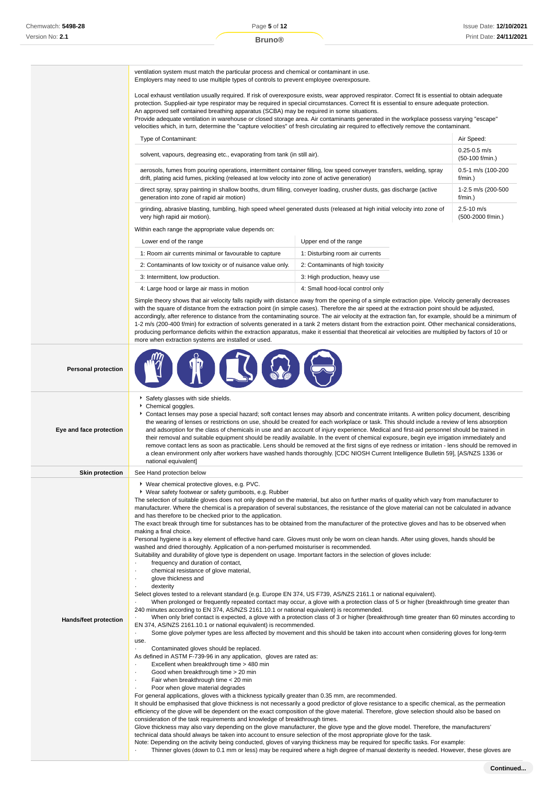ventilation system must match the particular process and chemical or contaminant in use. Employers may need to use multiple types of controls to prevent employee overexposure.

Local exhaust ventilation usually required. If risk of overexposure exists, wear approved respirator. Correct fit is essential to obtain adequate protection. Supplied-air type respirator may be required in special circumstances. Correct fit is essential to ensure adequate protection. An approved self contained breathing apparatus (SCBA) may be required in some situations.

Provide adequate ventilation in warehouse or closed storage area. Air contaminants generated in the workplace possess varying "escape" velocities which, in turn, determine the "capture velocities" of fresh circulating air required to effectively remove the contaminant.

| Type of Contaminant:                                                                                                    | Air Speed:                          |
|-------------------------------------------------------------------------------------------------------------------------|-------------------------------------|
| solvent, vapours, degreasing etc., evaporating from tank (in still air).                                                | $0.25 - 0.5$ m/s<br>(50-100 f/min.) |
| aerosols, fumes from pouring operations, intermittent container filling, low speed conveyer transfers, welding, spray   | 0.5-1 m/s (100-200                  |
| drift, plating acid fumes, pickling (released at low velocity into zone of active generation)                           | $f/min.$ )                          |
| direct spray, spray painting in shallow booths, drum filling, conveyer loading, crusher dusts, gas discharge (active    | 1-2.5 m/s (200-500                  |
| generation into zone of rapid air motion)                                                                               | $f/min.$ )                          |
| grinding, abrasive blasting, tumbling, high speed wheel generated dusts (released at high initial velocity into zone of | $2.5 - 10$ m/s                      |
| very high rapid air motion).                                                                                            | (500-2000 f/min.)                   |
| Within coop ropes the oppropriate volus depends on:                                                                     |                                     |

Within each range the appropriate value depends on:

| Lower end of the range                                     | Upper end of the range           |
|------------------------------------------------------------|----------------------------------|
| 1: Room air currents minimal or favourable to capture      | 1: Disturbing room air currents  |
| 2: Contaminants of low toxicity or of nuisance value only. | 2: Contaminants of high toxicity |
| 3: Intermittent, low production.                           | 3: High production, heavy use    |
| 4: Large hood or large air mass in motion                  | 4: Small hood-local control only |

Simple theory shows that air velocity falls rapidly with distance away from the opening of a simple extraction pipe. Velocity generally decreases with the square of distance from the extraction point (in simple cases). Therefore the air speed at the extraction point should be adjusted, accordingly, after reference to distance from the contaminating source. The air velocity at the extraction fan, for example, should be a minimum of 1-2 m/s (200-400 f/min) for extraction of solvents generated in a tank 2 meters distant from the extraction point. Other mechanical considerations, producing performance deficits within the extraction apparatus, make it essential that theoretical air velocities are multiplied by factors of 10 or more when extraction systems are installed or used.

| <b>Personal protection</b> |                                                                                                                                                                                                                                                                                                                                                                                                                                                                                                                                                                                                                                                                                                                                                                                                                                                                                                                                                                                                                                                                                                                                                                                                                                                                                                                                                                                                                                                                                                                                                                                                                                                                                                                                                                                                                                                                                                                                                                                                                                                                                                                                                                                                                                                                                                                                                                                                                                                                                                                                                                                                                                                                                                                                                                                                                                                                                                                                                                                                                                                                                                                                                                                                                               |
|----------------------------|-------------------------------------------------------------------------------------------------------------------------------------------------------------------------------------------------------------------------------------------------------------------------------------------------------------------------------------------------------------------------------------------------------------------------------------------------------------------------------------------------------------------------------------------------------------------------------------------------------------------------------------------------------------------------------------------------------------------------------------------------------------------------------------------------------------------------------------------------------------------------------------------------------------------------------------------------------------------------------------------------------------------------------------------------------------------------------------------------------------------------------------------------------------------------------------------------------------------------------------------------------------------------------------------------------------------------------------------------------------------------------------------------------------------------------------------------------------------------------------------------------------------------------------------------------------------------------------------------------------------------------------------------------------------------------------------------------------------------------------------------------------------------------------------------------------------------------------------------------------------------------------------------------------------------------------------------------------------------------------------------------------------------------------------------------------------------------------------------------------------------------------------------------------------------------------------------------------------------------------------------------------------------------------------------------------------------------------------------------------------------------------------------------------------------------------------------------------------------------------------------------------------------------------------------------------------------------------------------------------------------------------------------------------------------------------------------------------------------------------------------------------------------------------------------------------------------------------------------------------------------------------------------------------------------------------------------------------------------------------------------------------------------------------------------------------------------------------------------------------------------------------------------------------------------------------------------------------------------------|
| Eye and face protection    | Safety glasses with side shields.<br>Chemical goggles.<br>▶ Contact lenses may pose a special hazard; soft contact lenses may absorb and concentrate irritants. A written policy document, describing<br>the wearing of lenses or restrictions on use, should be created for each workplace or task. This should include a review of lens absorption<br>and adsorption for the class of chemicals in use and an account of injury experience. Medical and first-aid personnel should be trained in<br>their removal and suitable equipment should be readily available. In the event of chemical exposure, begin eye irrigation immediately and<br>remove contact lens as soon as practicable. Lens should be removed at the first signs of eye redness or irritation - lens should be removed in<br>a clean environment only after workers have washed hands thoroughly. [CDC NIOSH Current Intelligence Bulletin 59], [AS/NZS 1336 or<br>national equivalent]                                                                                                                                                                                                                                                                                                                                                                                                                                                                                                                                                                                                                                                                                                                                                                                                                                                                                                                                                                                                                                                                                                                                                                                                                                                                                                                                                                                                                                                                                                                                                                                                                                                                                                                                                                                                                                                                                                                                                                                                                                                                                                                                                                                                                                                               |
| <b>Skin protection</b>     | See Hand protection below                                                                                                                                                                                                                                                                                                                                                                                                                                                                                                                                                                                                                                                                                                                                                                                                                                                                                                                                                                                                                                                                                                                                                                                                                                                                                                                                                                                                                                                                                                                                                                                                                                                                                                                                                                                                                                                                                                                                                                                                                                                                                                                                                                                                                                                                                                                                                                                                                                                                                                                                                                                                                                                                                                                                                                                                                                                                                                                                                                                                                                                                                                                                                                                                     |
| Hands/feet protection      | ▶ Wear chemical protective gloves, e.g. PVC.<br>▶ Wear safety footwear or safety gumboots, e.g. Rubber<br>The selection of suitable gloves does not only depend on the material, but also on further marks of quality which vary from manufacturer to<br>manufacturer. Where the chemical is a preparation of several substances, the resistance of the glove material can not be calculated in advance<br>and has therefore to be checked prior to the application.<br>The exact break through time for substances has to be obtained from the manufacturer of the protective gloves and has to be observed when<br>making a final choice.<br>Personal hygiene is a key element of effective hand care. Gloves must only be worn on clean hands. After using gloves, hands should be<br>washed and dried thoroughly. Application of a non-perfumed moisturiser is recommended.<br>Suitability and durability of glove type is dependent on usage. Important factors in the selection of gloves include:<br>frequency and duration of contact,<br>٠<br>chemical resistance of glove material,<br>٠<br>glove thickness and<br>$\cdot$<br>dexterity<br>$\cdot$<br>Select gloves tested to a relevant standard (e.g. Europe EN 374, US F739, AS/NZS 2161.1 or national equivalent).<br>When prolonged or frequently repeated contact may occur, a glove with a protection class of 5 or higher (breakthrough time greater than<br>240 minutes according to EN 374, AS/NZS 2161.10.1 or national equivalent) is recommended.<br>When only brief contact is expected, a glove with a protection class of 3 or higher (breakthrough time greater than 60 minutes according to<br>EN 374, AS/NZS 2161.10.1 or national equivalent) is recommended.<br>Some glove polymer types are less affected by movement and this should be taken into account when considering gloves for long-term<br>$\cdot$<br>use.<br>Contaminated gloves should be replaced.<br>As defined in ASTM F-739-96 in any application, gloves are rated as:<br>Excellent when breakthrough time > 480 min<br>٠<br>Good when breakthrough time > 20 min<br>Fair when breakthrough time < 20 min<br>Poor when glove material degrades<br>For general applications, gloves with a thickness typically greater than 0.35 mm, are recommended.<br>It should be emphasised that glove thickness is not necessarily a good predictor of glove resistance to a specific chemical, as the permeation<br>efficiency of the glove will be dependent on the exact composition of the glove material. Therefore, glove selection should also be based on<br>consideration of the task requirements and knowledge of breakthrough times.<br>Glove thickness may also vary depending on the glove manufacturer, the glove type and the glove model. Therefore, the manufacturers'<br>technical data should always be taken into account to ensure selection of the most appropriate glove for the task.<br>Note: Depending on the activity being conducted, gloves of varying thickness may be required for specific tasks. For example:<br>Thinner gloves (down to 0.1 mm or less) may be required where a high degree of manual dexterity is needed. However, these gloves are |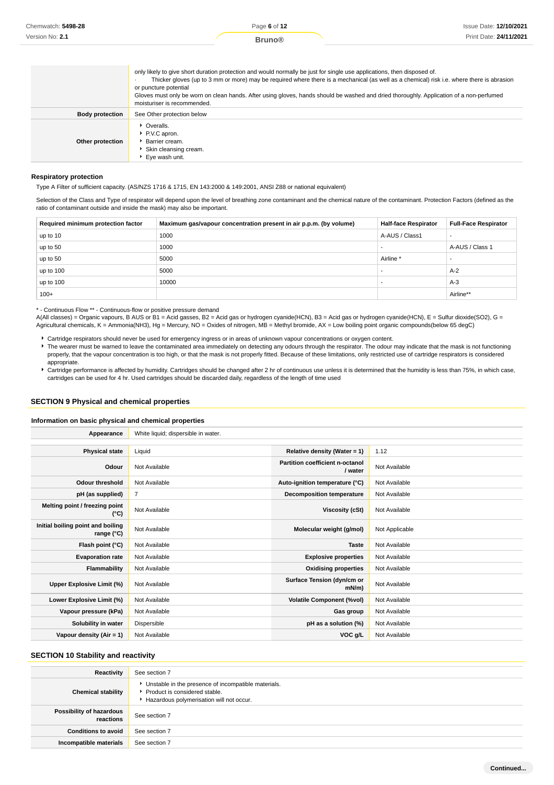|                        | only likely to give short duration protection and would normally be just for single use applications, then disposed of.<br>Thicker gloves (up to 3 mm or more) may be required where there is a mechanical (as well as a chemical) risk i.e. where there is abrasion<br>٠<br>or puncture potential<br>Gloves must only be worn on clean hands. After using gloves, hands should be washed and dried thoroughly. Application of a non-perfumed<br>moisturiser is recommended. |
|------------------------|------------------------------------------------------------------------------------------------------------------------------------------------------------------------------------------------------------------------------------------------------------------------------------------------------------------------------------------------------------------------------------------------------------------------------------------------------------------------------|
| <b>Body protection</b> | See Other protection below                                                                                                                                                                                                                                                                                                                                                                                                                                                   |
| Other protection       | • Overalls.<br>P.V.C apron.<br>Barrier cream.<br>Skin cleansing cream.<br>Eye wash unit.                                                                                                                                                                                                                                                                                                                                                                                     |

### **Respiratory protection**

Type A Filter of sufficient capacity. (AS/NZS 1716 & 1715, EN 143:2000 & 149:2001, ANSI Z88 or national equivalent)

Selection of the Class and Type of respirator will depend upon the level of breathing zone contaminant and the chemical nature of the contaminant. Protection Factors (defined as the ratio of contaminant outside and inside the mask) may also be important.

| Required minimum protection factor | Maximum gas/vapour concentration present in air p.p.m. (by volume) | <b>Half-face Respirator</b> | <b>Full-Face Respirator</b> |
|------------------------------------|--------------------------------------------------------------------|-----------------------------|-----------------------------|
| up to 10                           | 1000                                                               | A-AUS / Class1              |                             |
| up to 50                           | 1000                                                               |                             | A-AUS / Class 1             |
| up to 50                           | 5000                                                               | Airline <sup>*</sup>        |                             |
| up to 100                          | 5000                                                               |                             | $A-2$                       |
| up to 100                          | 10000                                                              |                             | $A-3$                       |
| $100+$                             |                                                                    |                             | Airline**                   |

\* - Continuous Flow \*\* - Continuous-flow or positive pressure demand

A(All classes) = Organic vapours, B AUS or B1 = Acid gasses, B2 = Acid gas or hydrogen cyanide(HCN), B3 = Acid gas or hydrogen cyanide(HCN), E = Sulfur dioxide(SO2), G = Agricultural chemicals, K = Ammonia(NH3), Hg = Mercury, NO = Oxides of nitrogen, MB = Methyl bromide, AX = Low boiling point organic compounds(below 65 degC)

Cartridge respirators should never be used for emergency ingress or in areas of unknown vapour concentrations or oxygen content.

The wearer must be warned to leave the contaminated area immediately on detecting any odours through the respirator. The odour may indicate that the mask is not functioning properly, that the vapour concentration is too high, or that the mask is not properly fitted. Because of these limitations, only restricted use of cartridge respirators is considered appropriate.

Cartridge performance is affected by humidity. Cartridges should be changed after 2 hr of continuous use unless it is determined that the humidity is less than 75%, in which case, cartridges can be used for 4 hr. Used cartridges should be discarded daily, regardless of the length of time used

# **SECTION 9 Physical and chemical properties**

#### **Information on basic physical and chemical properties**

| Appearance                                      | White liquid; dispersible in water. |                                            |                |
|-------------------------------------------------|-------------------------------------|--------------------------------------------|----------------|
|                                                 |                                     |                                            |                |
| <b>Physical state</b>                           | Liquid                              | Relative density (Water = $1$ )            | 1.12           |
| Odour                                           | Not Available                       | Partition coefficient n-octanol<br>/ water | Not Available  |
| <b>Odour threshold</b>                          | Not Available                       | Auto-ignition temperature (°C)             | Not Available  |
| pH (as supplied)                                | 7                                   | Decomposition temperature                  | Not Available  |
| Melting point / freezing point<br>(°C)          | Not Available                       | Viscosity (cSt)                            | Not Available  |
| Initial boiling point and boiling<br>range (°C) | Not Available                       | Molecular weight (g/mol)                   | Not Applicable |
| Flash point (°C)                                | Not Available                       | <b>Taste</b>                               | Not Available  |
| <b>Evaporation rate</b>                         | Not Available                       | <b>Explosive properties</b>                | Not Available  |
| Flammability                                    | Not Available                       | <b>Oxidising properties</b>                | Not Available  |
| Upper Explosive Limit (%)                       | Not Available                       | Surface Tension (dyn/cm or<br>$mN/m$ )     | Not Available  |
| Lower Explosive Limit (%)                       | Not Available                       | <b>Volatile Component (%vol)</b>           | Not Available  |
| Vapour pressure (kPa)                           | Not Available                       | Gas group                                  | Not Available  |
| Solubility in water                             | <b>Dispersible</b>                  | pH as a solution (%)                       | Not Available  |
| Vapour density $(Air = 1)$                      | Not Available                       | VOC g/L                                    | Not Available  |

### **SECTION 10 Stability and reactivity**

| Reactivity                            | See section 7                                                                                                                        |
|---------------------------------------|--------------------------------------------------------------------------------------------------------------------------------------|
| <b>Chemical stability</b>             | • Unstable in the presence of incompatible materials.<br>▶ Product is considered stable.<br>Hazardous polymerisation will not occur. |
| Possibility of hazardous<br>reactions | See section 7                                                                                                                        |
| <b>Conditions to avoid</b>            | See section 7                                                                                                                        |
| Incompatible materials                | See section 7                                                                                                                        |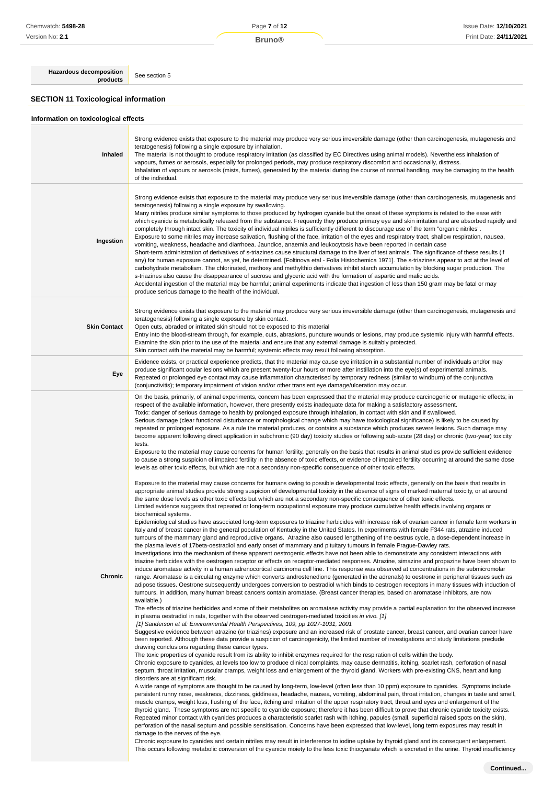Page **7** of **12**

**Bruno®**

**Hazardous decomposition**<br> **products** See section 5

# **SECTION 11 Toxicological information**

| Information on toxicological effects |                                                                                                                                                                                                                                                                                                                                                                                                                                                                                                                                                                                                                                                                                                                                                                                                                                                                                                                                                                                                                                                                                                                                                                                                                                                                                                                                                                                                                                                                                                                                                                                                                                                                                                                                                                                                                                                                                                                                                                                                                                                                                                                                                                                                                                                                                                                                                                                                                                                                                                                                                                                                                                                                                                                                                                                                                                                                                                                                                                                                                                                                                                                                                                                                                                                                                                                                                                                                                                                                                                                                                                                                                                                                                                                                                                                                                                                                                                                                                                                                                                                                                                                                                                                                                                                                                                                                                                                                                                                                                                                                                                                                                                                                                                                                                                                                                                                                                                                                                                                                                                                                                                                                                                                                                                                                                                                                                                                                                                                                                                                                                                                                                                                                                                                                                                                                                                             |  |
|--------------------------------------|---------------------------------------------------------------------------------------------------------------------------------------------------------------------------------------------------------------------------------------------------------------------------------------------------------------------------------------------------------------------------------------------------------------------------------------------------------------------------------------------------------------------------------------------------------------------------------------------------------------------------------------------------------------------------------------------------------------------------------------------------------------------------------------------------------------------------------------------------------------------------------------------------------------------------------------------------------------------------------------------------------------------------------------------------------------------------------------------------------------------------------------------------------------------------------------------------------------------------------------------------------------------------------------------------------------------------------------------------------------------------------------------------------------------------------------------------------------------------------------------------------------------------------------------------------------------------------------------------------------------------------------------------------------------------------------------------------------------------------------------------------------------------------------------------------------------------------------------------------------------------------------------------------------------------------------------------------------------------------------------------------------------------------------------------------------------------------------------------------------------------------------------------------------------------------------------------------------------------------------------------------------------------------------------------------------------------------------------------------------------------------------------------------------------------------------------------------------------------------------------------------------------------------------------------------------------------------------------------------------------------------------------------------------------------------------------------------------------------------------------------------------------------------------------------------------------------------------------------------------------------------------------------------------------------------------------------------------------------------------------------------------------------------------------------------------------------------------------------------------------------------------------------------------------------------------------------------------------------------------------------------------------------------------------------------------------------------------------------------------------------------------------------------------------------------------------------------------------------------------------------------------------------------------------------------------------------------------------------------------------------------------------------------------------------------------------------------------------------------------------------------------------------------------------------------------------------------------------------------------------------------------------------------------------------------------------------------------------------------------------------------------------------------------------------------------------------------------------------------------------------------------------------------------------------------------------------------------------------------------------------------------------------------------------------------------------------------------------------------------------------------------------------------------------------------------------------------------------------------------------------------------------------------------------------------------------------------------------------------------------------------------------------------------------------------------------------------------------------------------------------------------------------------------------------------------------------------------------------------------------------------------------------------------------------------------------------------------------------------------------------------------------------------------------------------------------------------------------------------------------------------------------------------------------------------------------------------------------------------------------------------------------------------------------------------------------------------------------------------------------------------------------------------------------------------------------------------------------------------------------------------------------------------------------------------------------------------------------------------------------------------------------------------------------------------------------------------------------------------------------------------------------------------------------------------------------------------------------|--|
| Inhaled                              | Strong evidence exists that exposure to the material may produce very serious irreversible damage (other than carcinogenesis, mutagenesis and<br>teratogenesis) following a single exposure by inhalation.<br>The material is not thought to produce respiratory irritation (as classified by EC Directives using animal models). Nevertheless inhalation of<br>vapours, fumes or aerosols, especially for prolonged periods, may produce respiratory discomfort and occasionally, distress.<br>Inhalation of vapours or aerosols (mists, fumes), generated by the material during the course of normal handling, may be damaging to the health<br>of the individual.                                                                                                                                                                                                                                                                                                                                                                                                                                                                                                                                                                                                                                                                                                                                                                                                                                                                                                                                                                                                                                                                                                                                                                                                                                                                                                                                                                                                                                                                                                                                                                                                                                                                                                                                                                                                                                                                                                                                                                                                                                                                                                                                                                                                                                                                                                                                                                                                                                                                                                                                                                                                                                                                                                                                                                                                                                                                                                                                                                                                                                                                                                                                                                                                                                                                                                                                                                                                                                                                                                                                                                                                                                                                                                                                                                                                                                                                                                                                                                                                                                                                                                                                                                                                                                                                                                                                                                                                                                                                                                                                                                                                                                                                                                                                                                                                                                                                                                                                                                                                                                                                                                                                                                       |  |
| Ingestion                            | Strong evidence exists that exposure to the material may produce very serious irreversible damage (other than carcinogenesis, mutagenesis and<br>teratogenesis) following a single exposure by swallowing.<br>Many nitriles produce similar symptoms to those produced by hydrogen cyanide but the onset of these symptoms is related to the ease with<br>which cyanide is metabolically released from the substance. Frequently they produce primary eye and skin irritation and are absorbed rapidly and<br>completely through intact skin. The toxicity of individual nitriles is sufficiently different to discourage use of the term "organic nitriles".<br>Exposure to some nitriles may increase salivation, flushing of the face, irritation of the eyes and respiratory tract, shallow respiration, nausea,<br>vomiting, weakness, headache and diarrhoea. Jaundice, anaemia and leukocytosis have been reported in certain case<br>Short-term administration of derivatives of s-triazines cause structural damage to the liver of test animals. The significance of these results (if<br>any) for human exposure cannot, as yet, be determined. [Foltinova etal - Folia Histochemica 1971]. The s-triazines appear to act at the level of<br>carbohydrate metabolism. The chlorinated, methoxy and methylthio derivatives inhibit starch accumulation by blocking sugar production. The<br>s-triazines also cause the disappearance of sucrose and glyceric acid with the formation of aspartic and malic acids.<br>Accidental ingestion of the material may be harmful; animal experiments indicate that ingestion of less than 150 gram may be fatal or may<br>produce serious damage to the health of the individual.                                                                                                                                                                                                                                                                                                                                                                                                                                                                                                                                                                                                                                                                                                                                                                                                                                                                                                                                                                                                                                                                                                                                                                                                                                                                                                                                                                                                                                                                                                                                                                                                                                                                                                                                                                                                                                                                                                                                                                                                                                                                                                                                                                                                                                                                                                                                                                                                                                                                                                                                                                                                                                                                                                                                                                                                                                                                                                                                                                                                                                                                                                                                                                                                                                                                                                                                                                                                                                                                                                                                                                                                                                                                                                                                                                                                                                                                                                                                                                                                                                                                                                         |  |
| <b>Skin Contact</b>                  | Strong evidence exists that exposure to the material may produce very serious irreversible damage (other than carcinogenesis, mutagenesis and<br>teratogenesis) following a single exposure by skin contact.<br>Open cuts, abraded or irritated skin should not be exposed to this material<br>Entry into the blood-stream through, for example, cuts, abrasions, puncture wounds or lesions, may produce systemic injury with harmful effects.<br>Examine the skin prior to the use of the material and ensure that any external damage is suitably protected.<br>Skin contact with the material may be harmful; systemic effects may result following absorption.                                                                                                                                                                                                                                                                                                                                                                                                                                                                                                                                                                                                                                                                                                                                                                                                                                                                                                                                                                                                                                                                                                                                                                                                                                                                                                                                                                                                                                                                                                                                                                                                                                                                                                                                                                                                                                                                                                                                                                                                                                                                                                                                                                                                                                                                                                                                                                                                                                                                                                                                                                                                                                                                                                                                                                                                                                                                                                                                                                                                                                                                                                                                                                                                                                                                                                                                                                                                                                                                                                                                                                                                                                                                                                                                                                                                                                                                                                                                                                                                                                                                                                                                                                                                                                                                                                                                                                                                                                                                                                                                                                                                                                                                                                                                                                                                                                                                                                                                                                                                                                                                                                                                                                         |  |
| Eye                                  | Evidence exists, or practical experience predicts, that the material may cause eye irritation in a substantial number of individuals and/or may<br>produce significant ocular lesions which are present twenty-four hours or more after instillation into the eye(s) of experimental animals.<br>Repeated or prolonged eye contact may cause inflammation characterised by temporary redness (similar to windburn) of the conjunctiva<br>(conjunctivitis); temporary impairment of vision and/or other transient eye damage/ulceration may occur.                                                                                                                                                                                                                                                                                                                                                                                                                                                                                                                                                                                                                                                                                                                                                                                                                                                                                                                                                                                                                                                                                                                                                                                                                                                                                                                                                                                                                                                                                                                                                                                                                                                                                                                                                                                                                                                                                                                                                                                                                                                                                                                                                                                                                                                                                                                                                                                                                                                                                                                                                                                                                                                                                                                                                                                                                                                                                                                                                                                                                                                                                                                                                                                                                                                                                                                                                                                                                                                                                                                                                                                                                                                                                                                                                                                                                                                                                                                                                                                                                                                                                                                                                                                                                                                                                                                                                                                                                                                                                                                                                                                                                                                                                                                                                                                                                                                                                                                                                                                                                                                                                                                                                                                                                                                                                           |  |
| Chronic                              | On the basis, primarily, of animal experiments, concern has been expressed that the material may produce carcinogenic or mutagenic effects; in<br>respect of the available information, however, there presently exists inadequate data for making a satisfactory assessment.<br>Toxic: danger of serious damage to health by prolonged exposure through inhalation, in contact with skin and if swallowed.<br>Serious damage (clear functional disturbance or morphological change which may have toxicological significance) is likely to be caused by<br>repeated or prolonged exposure. As a rule the material produces, or contains a substance which produces severe lesions. Such damage may<br>become apparent following direct application in subchronic (90 day) toxicity studies or following sub-acute (28 day) or chronic (two-year) toxicity<br>tests.<br>Exposure to the material may cause concerns for human fertility, generally on the basis that results in animal studies provide sufficient evidence<br>to cause a strong suspicion of impaired fertility in the absence of toxic effects, or evidence of impaired fertility occurring at around the same dose<br>levels as other toxic effects, but which are not a secondary non-specific consequence of other toxic effects.<br>Exposure to the material may cause concerns for humans owing to possible developmental toxic effects, generally on the basis that results in<br>appropriate animal studies provide strong suspicion of developmental toxicity in the absence of signs of marked maternal toxicity, or at around<br>the same dose levels as other toxic effects but which are not a secondary non-specific consequence of other toxic effects.<br>Limited evidence suggests that repeated or long-term occupational exposure may produce cumulative health effects involving organs or<br>biochemical systems.<br>Epidemiological studies have associated long-term exposures to triazine herbicides with increase risk of ovarian cancer in female farm workers in<br>Italy and of breast cancer in the general population of Kentucky in the United States. In experiments with female F344 rats, atrazine induced<br>tumours of the mammary gland and reproductive organs. Atrazine also caused lengthening of the oestrus cycle, a dose-dependent increase in<br>the plasma levels of 17beta-oestradiol and early onset of mammary and pituitary tumours in female Prague-Dawley rats.<br>Investigations into the mechanism of these apparent oestrogenic effects have not been able to demonstrate any consistent interactions with<br>triazine herbicides with the oestrogen receptor or effects on receptor-mediated responses. Atrazine, simazine and propazine have been shown to<br>induce aromatase activity in a human adrenocortical carcinoma cell line. This response was observed at concentrations in the submicromolar<br>range. Aromatase is a circulating enzyme which converts androstenedione (generated in the adrenals) to oestrone in peripheral tissues such as<br>adipose tissues. Oestrone subsequently undergoes conversion to oestradiol which binds to oestrogen receptors in many tissues with induction of<br>tumours. In addition, many human breast cancers contain aromatase. (Breast cancer therapies, based on aromatase inhibitors, are now<br>available.)<br>The effects of triazine herbicides and some of their metabolites on aromatase activity may provide a partial explanation for the observed increase<br>in plasma oestradiol in rats, together with the observed oestrogen-mediated toxicities in vivo. [1]<br>[1] Sanderson et al: Environmental Health Perspectives, 109, pp 1027-1031, 2001<br>Suggestive evidence between atrazine (or triazines) exposure and an increased risk of prostate cancer, breast cancer, and ovarian cancer have<br>been reported. Although these data provide a suspicion of carcinogenicity, the limited number of investigations and study limitations preclude<br>drawing conclusions regarding these cancer types.<br>The toxic properties of cyanide result from its ability to inhibit enzymes required for the respiration of cells within the body.<br>Chronic exposure to cyanides, at levels too low to produce clinical complaints, may cause dermatitis, itching, scarlet rash, perforation of nasal<br>septum, throat irritation, muscular cramps, weight loss and enlargement of the thyroid gland. Workers with pre-existing CNS, heart and lung<br>disorders are at significant risk.<br>A wide range of symptoms are thought to be caused by long-term, low-level (often less than 10 ppm) exposure to cyanides. Symptoms include<br>persistent runny nose, weakness, dizziness, giddiness, headache, nausea, vomiting, abdominal pain, throat irritation, changes in taste and smell,<br>muscle cramps, weight loss, flushing of the face, itching and irritation of the upper respiratory tract, throat and eyes and enlargement of the<br>thyroid gland. These symptoms are not specific to cyanide exposure; therefore it has been difficult to prove that chronic cyanide toxicity exists.<br>Repeated minor contact with cyanides produces a characteristic scarlet rash with itching, papules (small, superficial raised spots on the skin),<br>perforation of the nasal septum and possible sensitisation. Concerns have been expressed that low-level, long term exposures may result in<br>damage to the nerves of the eye.<br>Chronic exposure to cyanides and certain nitriles may result in interference to iodine uptake by thyroid gland and its consequent enlargement.<br>This occurs following metabolic conversion of the cyanide moiety to the less toxic thiocyanate which is excreted in the urine. Thyroid insufficiency |  |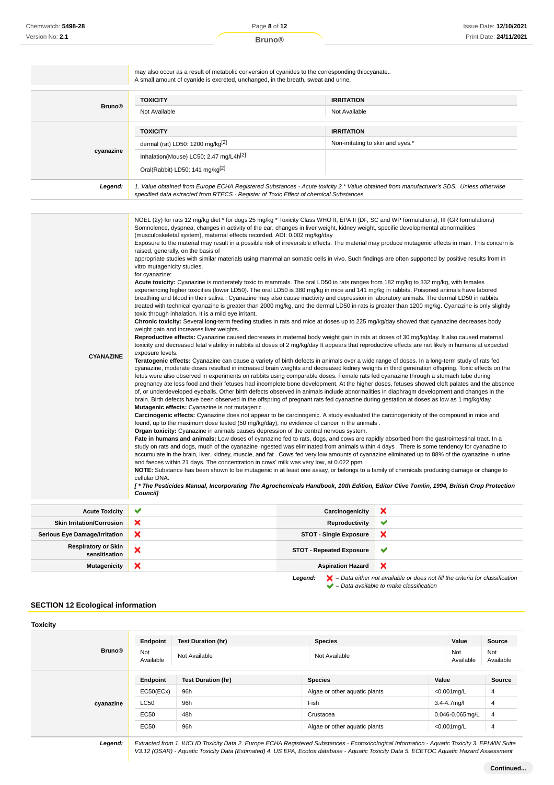|                                             | <b>TOXICITY</b>                                                                                                                                                                                                                                                                                                                                                                                                                                                                                                                                                                                                                                                                                                                                                                                                                                                                                                                                                                                                                                                                                                                                                                                                                                                                                                                                                                                                                                                                                                                                                                                                                                                                                                                                                                                                                                                                                                                                                                                                                                                                                                                                                                                                                                                                                                                                                                                                                                                                                                                                                                                                                                                                                                                                                                                                                                                                                                                                                                                                                                                                                                                                                                                                                                                                                                                                                                                                                                                                                                                                                                                                                                                                                                                                                                                                                                                                                                                                                                                                                      | <b>IRRITATION</b>                 |   |
|---------------------------------------------|--------------------------------------------------------------------------------------------------------------------------------------------------------------------------------------------------------------------------------------------------------------------------------------------------------------------------------------------------------------------------------------------------------------------------------------------------------------------------------------------------------------------------------------------------------------------------------------------------------------------------------------------------------------------------------------------------------------------------------------------------------------------------------------------------------------------------------------------------------------------------------------------------------------------------------------------------------------------------------------------------------------------------------------------------------------------------------------------------------------------------------------------------------------------------------------------------------------------------------------------------------------------------------------------------------------------------------------------------------------------------------------------------------------------------------------------------------------------------------------------------------------------------------------------------------------------------------------------------------------------------------------------------------------------------------------------------------------------------------------------------------------------------------------------------------------------------------------------------------------------------------------------------------------------------------------------------------------------------------------------------------------------------------------------------------------------------------------------------------------------------------------------------------------------------------------------------------------------------------------------------------------------------------------------------------------------------------------------------------------------------------------------------------------------------------------------------------------------------------------------------------------------------------------------------------------------------------------------------------------------------------------------------------------------------------------------------------------------------------------------------------------------------------------------------------------------------------------------------------------------------------------------------------------------------------------------------------------------------------------------------------------------------------------------------------------------------------------------------------------------------------------------------------------------------------------------------------------------------------------------------------------------------------------------------------------------------------------------------------------------------------------------------------------------------------------------------------------------------------------------------------------------------------------------------------------------------------------------------------------------------------------------------------------------------------------------------------------------------------------------------------------------------------------------------------------------------------------------------------------------------------------------------------------------------------------------------------------------------------------------------------------------------------------|-----------------------------------|---|
| <b>Bruno®</b>                               | Not Available                                                                                                                                                                                                                                                                                                                                                                                                                                                                                                                                                                                                                                                                                                                                                                                                                                                                                                                                                                                                                                                                                                                                                                                                                                                                                                                                                                                                                                                                                                                                                                                                                                                                                                                                                                                                                                                                                                                                                                                                                                                                                                                                                                                                                                                                                                                                                                                                                                                                                                                                                                                                                                                                                                                                                                                                                                                                                                                                                                                                                                                                                                                                                                                                                                                                                                                                                                                                                                                                                                                                                                                                                                                                                                                                                                                                                                                                                                                                                                                                                        | Not Available                     |   |
|                                             | <b>TOXICITY</b>                                                                                                                                                                                                                                                                                                                                                                                                                                                                                                                                                                                                                                                                                                                                                                                                                                                                                                                                                                                                                                                                                                                                                                                                                                                                                                                                                                                                                                                                                                                                                                                                                                                                                                                                                                                                                                                                                                                                                                                                                                                                                                                                                                                                                                                                                                                                                                                                                                                                                                                                                                                                                                                                                                                                                                                                                                                                                                                                                                                                                                                                                                                                                                                                                                                                                                                                                                                                                                                                                                                                                                                                                                                                                                                                                                                                                                                                                                                                                                                                                      | <b>IRRITATION</b>                 |   |
|                                             | dermal (rat) LD50: 1200 mg/kg <sup>[2]</sup>                                                                                                                                                                                                                                                                                                                                                                                                                                                                                                                                                                                                                                                                                                                                                                                                                                                                                                                                                                                                                                                                                                                                                                                                                                                                                                                                                                                                                                                                                                                                                                                                                                                                                                                                                                                                                                                                                                                                                                                                                                                                                                                                                                                                                                                                                                                                                                                                                                                                                                                                                                                                                                                                                                                                                                                                                                                                                                                                                                                                                                                                                                                                                                                                                                                                                                                                                                                                                                                                                                                                                                                                                                                                                                                                                                                                                                                                                                                                                                                         | Non-irritating to skin and eyes.* |   |
| cyanazine                                   | Inhalation(Mouse) LC50; 2.47 mg/L4h <sup>[2]</sup>                                                                                                                                                                                                                                                                                                                                                                                                                                                                                                                                                                                                                                                                                                                                                                                                                                                                                                                                                                                                                                                                                                                                                                                                                                                                                                                                                                                                                                                                                                                                                                                                                                                                                                                                                                                                                                                                                                                                                                                                                                                                                                                                                                                                                                                                                                                                                                                                                                                                                                                                                                                                                                                                                                                                                                                                                                                                                                                                                                                                                                                                                                                                                                                                                                                                                                                                                                                                                                                                                                                                                                                                                                                                                                                                                                                                                                                                                                                                                                                   |                                   |   |
|                                             | Oral(Rabbit) LD50; 141 mg/kg <sup>[2]</sup>                                                                                                                                                                                                                                                                                                                                                                                                                                                                                                                                                                                                                                                                                                                                                                                                                                                                                                                                                                                                                                                                                                                                                                                                                                                                                                                                                                                                                                                                                                                                                                                                                                                                                                                                                                                                                                                                                                                                                                                                                                                                                                                                                                                                                                                                                                                                                                                                                                                                                                                                                                                                                                                                                                                                                                                                                                                                                                                                                                                                                                                                                                                                                                                                                                                                                                                                                                                                                                                                                                                                                                                                                                                                                                                                                                                                                                                                                                                                                                                          |                                   |   |
| Legend:                                     | 1. Value obtained from Europe ECHA Registered Substances - Acute toxicity 2.* Value obtained from manufacturer's SDS. Unless otherwise<br>specified data extracted from RTECS - Register of Toxic Effect of chemical Substances                                                                                                                                                                                                                                                                                                                                                                                                                                                                                                                                                                                                                                                                                                                                                                                                                                                                                                                                                                                                                                                                                                                                                                                                                                                                                                                                                                                                                                                                                                                                                                                                                                                                                                                                                                                                                                                                                                                                                                                                                                                                                                                                                                                                                                                                                                                                                                                                                                                                                                                                                                                                                                                                                                                                                                                                                                                                                                                                                                                                                                                                                                                                                                                                                                                                                                                                                                                                                                                                                                                                                                                                                                                                                                                                                                                                      |                                   |   |
|                                             |                                                                                                                                                                                                                                                                                                                                                                                                                                                                                                                                                                                                                                                                                                                                                                                                                                                                                                                                                                                                                                                                                                                                                                                                                                                                                                                                                                                                                                                                                                                                                                                                                                                                                                                                                                                                                                                                                                                                                                                                                                                                                                                                                                                                                                                                                                                                                                                                                                                                                                                                                                                                                                                                                                                                                                                                                                                                                                                                                                                                                                                                                                                                                                                                                                                                                                                                                                                                                                                                                                                                                                                                                                                                                                                                                                                                                                                                                                                                                                                                                                      |                                   |   |
| <b>CYANAZINE</b>                            | NOEL (2y) for rats 12 mg/kg diet * for dogs 25 mg/kg * Toxicity Class WHO II, EPA II (DF, SC and WP formulations), III (GR formulations)<br>Somnolence, dyspnea, changes in activity of the ear, changes in liver weight, kidney weight, specific developmental abnormalities<br>(musculoskeletal system), maternal effects recorded. ADI: 0.002 mg/kg/day<br>Exposure to the material may result in a possible risk of irreversible effects. The material may produce mutagenic effects in man. This concern is<br>raised, generally, on the basis of<br>appropriate studies with similar materials using mammalian somatic cells in vivo. Such findings are often supported by positive results from in<br>vitro mutagenicity studies.<br>for cyanazine:<br>Acute toxicity: Cyanazine is moderately toxic to mammals. The oral LD50 in rats ranges from 182 mg/kg to 332 mg/kg, with females<br>experiencing higher toxicities (lower LD50). The oral LD50 is 380 mg/kg in mice and 141 mg/kg in rabbits. Poisoned animals have labored<br>breathing and blood in their saliva. Cyanazine may also cause inactivity and depression in laboratory animals. The dermal LD50 in rabbits<br>treated with technical cyanazine is greater than 2000 mg/kg, and the dermal LD50 in rats is greater than 1200 mg/kg. Cyanazine is only slightly<br>toxic through inhalation. It is a mild eye irritant.<br>Chronic toxicity: Several long-term feeding studies in rats and mice at doses up to 225 mg/kg/day showed that cyanazine decreases body<br>weight gain and increases liver weights.<br>Reproductive effects: Cyanazine caused decreases in maternal body weight gain in rats at doses of 30 mg/kg/day. It also caused maternal<br>toxicity and decreased fetal viability in rabbits at doses of 2 mg/kg/day It appears that reproductive effects are not likely in humans at expected<br>exposure levels.<br>Teratogenic effects: Cyanazine can cause a variety of birth defects in animals over a wide range of doses. In a long-term study of rats fed<br>cyanazine, moderate doses resulted in increased brain weights and decreased kidney weights in third generation offspring. Toxic effects on the<br>fetus were also observed in experiments on rabbits using comparable doses. Female rats fed cyanazine through a stomach tube during<br>pregnancy ate less food and their fetuses had incomplete bone development. At the higher doses, fetuses showed cleft palates and the absence<br>of, or underdeveloped eyeballs. Other birth defects observed in animals include abnormalities in diaphragm development and changes in the<br>brain. Birth defects have been observed in the offspring of pregnant rats fed cyanazine during gestation at doses as low as 1 mg/kg/day.<br>Mutagenic effects: Cyanazine is not mutagenic.<br>Carcinogenic effects: Cyanazine does not appear to be carcinogenic. A study evaluated the carcinogenicity of the compound in mice and<br>found, up to the maximum dose tested (50 mg/kg/day), no evidence of cancer in the animals.<br>Organ toxicity: Cyanazine in animals causes depression of the central nervous system.<br>Fate in humans and animals: Low doses of cyanazine fed to rats, dogs, and cows are rapidly absorbed from the gastrointestinal tract. In a<br>study on rats and dogs, much of the cyanazine ingested was eliminated from animals within 4 days. There is some tendency for cyanazine to<br>accumulate in the brain, liver, kidney, muscle, and fat . Cows fed very low amounts of cyanazine eliminated up to 88% of the cyanazine in urine<br>and faeces within 21 days. The concentration in cows' milk was very low, at 0.022 ppm<br>NOTE: Substance has been shown to be mutagenic in at least one assay, or belongs to a family of chemicals producing damage or change to<br>cellular DNA.<br>[*The Pesticides Manual, Incorporating The Agrochemicals Handbook, 10th Edition, Editor Clive Tomlin, 1994, British Crop Protection<br>Council1 |                                   |   |
| <b>Acute Toxicity</b>                       | ✔                                                                                                                                                                                                                                                                                                                                                                                                                                                                                                                                                                                                                                                                                                                                                                                                                                                                                                                                                                                                                                                                                                                                                                                                                                                                                                                                                                                                                                                                                                                                                                                                                                                                                                                                                                                                                                                                                                                                                                                                                                                                                                                                                                                                                                                                                                                                                                                                                                                                                                                                                                                                                                                                                                                                                                                                                                                                                                                                                                                                                                                                                                                                                                                                                                                                                                                                                                                                                                                                                                                                                                                                                                                                                                                                                                                                                                                                                                                                                                                                                                    | Carcinogenicity                   | × |
| <b>Skin Irritation/Corrosion</b>            | ×                                                                                                                                                                                                                                                                                                                                                                                                                                                                                                                                                                                                                                                                                                                                                                                                                                                                                                                                                                                                                                                                                                                                                                                                                                                                                                                                                                                                                                                                                                                                                                                                                                                                                                                                                                                                                                                                                                                                                                                                                                                                                                                                                                                                                                                                                                                                                                                                                                                                                                                                                                                                                                                                                                                                                                                                                                                                                                                                                                                                                                                                                                                                                                                                                                                                                                                                                                                                                                                                                                                                                                                                                                                                                                                                                                                                                                                                                                                                                                                                                                    | Reproductivity                    | ✔ |
| <b>Serious Eye Damage/Irritation</b>        | ×                                                                                                                                                                                                                                                                                                                                                                                                                                                                                                                                                                                                                                                                                                                                                                                                                                                                                                                                                                                                                                                                                                                                                                                                                                                                                                                                                                                                                                                                                                                                                                                                                                                                                                                                                                                                                                                                                                                                                                                                                                                                                                                                                                                                                                                                                                                                                                                                                                                                                                                                                                                                                                                                                                                                                                                                                                                                                                                                                                                                                                                                                                                                                                                                                                                                                                                                                                                                                                                                                                                                                                                                                                                                                                                                                                                                                                                                                                                                                                                                                                    | <b>STOT - Single Exposure</b>     | × |
| <b>Respiratory or Skin</b><br>sensitisation | ×                                                                                                                                                                                                                                                                                                                                                                                                                                                                                                                                                                                                                                                                                                                                                                                                                                                                                                                                                                                                                                                                                                                                                                                                                                                                                                                                                                                                                                                                                                                                                                                                                                                                                                                                                                                                                                                                                                                                                                                                                                                                                                                                                                                                                                                                                                                                                                                                                                                                                                                                                                                                                                                                                                                                                                                                                                                                                                                                                                                                                                                                                                                                                                                                                                                                                                                                                                                                                                                                                                                                                                                                                                                                                                                                                                                                                                                                                                                                                                                                                                    | <b>STOT - Repeated Exposure</b>   | ✔ |
|                                             |                                                                                                                                                                                                                                                                                                                                                                                                                                                                                                                                                                                                                                                                                                                                                                                                                                                                                                                                                                                                                                                                                                                                                                                                                                                                                                                                                                                                                                                                                                                                                                                                                                                                                                                                                                                                                                                                                                                                                                                                                                                                                                                                                                                                                                                                                                                                                                                                                                                                                                                                                                                                                                                                                                                                                                                                                                                                                                                                                                                                                                                                                                                                                                                                                                                                                                                                                                                                                                                                                                                                                                                                                                                                                                                                                                                                                                                                                                                                                                                                                                      |                                   |   |

# **SECTION 12 Ecological information**

**Toxicity Bruno® Endpoint Test Duration (hr) Species Value Source** Not<br>Available Not Not Available Not Available Not Available Not Available Not Available Not Ava<br>Available Ava Available Not Available **cyanazine Endpoint Test Duration (hr) Species Value Source** EC50(ECx) 96h Algae or other aquatic plants <0.001mg/L 4 LC50 96h Fish 3.4-4.7mg/l 4 EC50 48h Crustacea 0.046-0.065mg/L 4 EC50 96h Algae or other aquatic plants <0.001mg/L 4

**Legend:** Extracted from 1. IUCLID Toxicity Data 2. Europe ECHA Registered Substances - Ecotoxicological Information - Aquatic Toxicity 3. EPIWIN Suite V3.12 (QSAR) - Aquatic Toxicity Data (Estimated) 4. US EPA, Ecotox database - Aquatic Toxicity Data 5. ECETOC Aquatic Hazard Assessment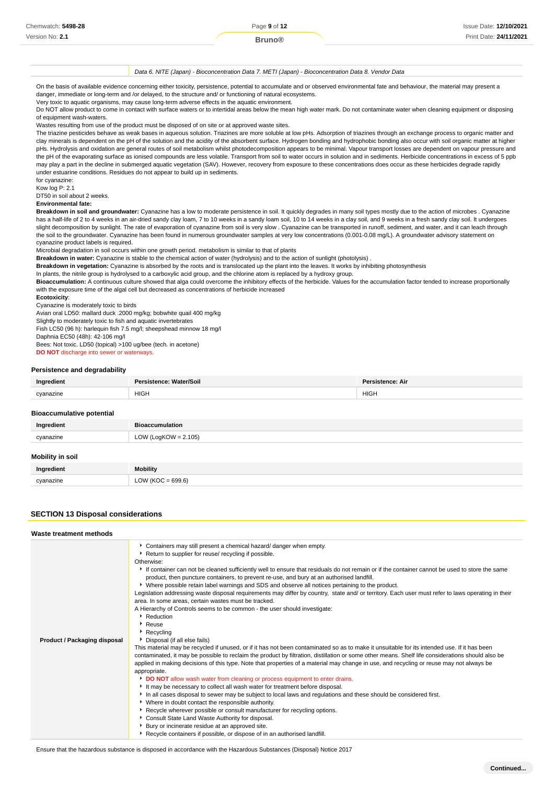| Chemwatch: 5498-28 | Page 9 of 12  | <b>Issue Date: 12/10/2021</b> |
|--------------------|---------------|-------------------------------|
| Version No: 2.1    | <b>Bruno®</b> | Print Date: 24/11/2021        |
|                    |               |                               |

Data 6. NITE (Japan) - Bioconcentration Data 7. METI (Japan) - Bioconcentration Data 8. Vendor Data

On the basis of available evidence concerning either toxicity, persistence, potential to accumulate and or observed environmental fate and behaviour, the material may present a danger, immediate or long-term and /or delayed, to the structure and/ or functioning of natural ecosystems.

Very toxic to aquatic organisms, may cause long-term adverse effects in the aquatic environment.

Do NOT allow product to come in contact with surface waters or to intertidal areas below the mean high water mark. Do not contaminate water when cleaning equipment or disposing of equipment wash-waters.

Wastes resulting from use of the product must be disposed of on site or at approved waste sites.

The triazine pesticides behave as weak bases in aqueous solution. Triazines are more soluble at low pHs. Adsorption of triazines through an exchange process to organic matter and clay minerals is dependent on the pH of the solution and the acidity of the absorbent surface. Hydrogen bonding and hydrophobic bonding also occur with soil organic matter at higher pHs. Hydrolysis and oxidation are general routes of soil metabolism whilst photodecomposition appears to be minimal. Vapour transport losses are dependent on vapour pressure and .<br>the pH of the evaporating surface as ionised compounds are less volatile. Transport from soil to water occurs in solution and in sediments. Herbicide concentrations in excess of 5 ppb may play a part in the decline in submerged aquatic vegetation (SAV). However, recovery from exposure to these concentrations does occur as these herbicides degrade rapidly under estuarine conditions. Residues do not appear to build up in sediments.

for cyanazine:

Kow log P: 2.1

DT50 in soil about 2 weeks. **Environmental fate:**

**Breakdown in soil and groundwater:** Cyanazine has a low to moderate persistence in soil. It quickly degrades in many soil types mostly due to the action of microbes . Cyanazine has a half-life of 2 to 4 weeks in an air-dried sandy clay loam, 7 to 10 weeks in a sandy loam soil, 10 to 14 weeks in a clay soil, and 9 weeks in a fresh sandy clay soil. It undergoes slight decomposition by sunlight. The rate of evaporation of cyanazine from soil is very slow . Cyanazine can be transported in runoff, sediment, and water, and it can leach through the soil to the groundwater. Cyanazine has been found in numerous groundwater samples at very low concentrations (0.001-0.08 mg/L). A groundwater advisory statement on cyanazine product labels is required.

Microbial degradation in soil occurs within one growth period. metabolism is similar to that of plants

**Breakdown in water:** Cyanazine is stable to the chemical action of water (hydrolysis) and to the action of sunlight (photolysis) .

**Breakdown in vegetation:** Cyanazine is absorbed by the roots and is translocated up the plant into the leaves. It works by inhibiting photosynthesis

In plants, the nitrile group is hydrolysed to a carboxylic acid group, and the chlorine atom is replaced by a hydroxy group.

**Bioaccumulation:** A continuous culture showed that alga could overcome the inhibitory effects of the herbicide. Values for the accumulation factor tended to increase proportionally with the exposure time of the algal cell but decreased as concentrations of herbicide increased

#### **Ecotoxicity**:

Cyanazine is moderately toxic to birds

Avian oral LD50: mallard duck .2000 mg/kg; bobwhite quail 400 mg/kg

Slightly to moderately toxic to fish and aquatic invertebrates

Fish LC50 (96 h): harlequin fish 7.5 mg/l; sheepshead minnow 18 mg/l

Daphnia EC50 (48h): 42-106 mg/l Bees: Not toxic. LD50 (topical) >100 ug/bee (tech. in acetone)

**DO NOT** discharge into sewer or waterways.

#### **Persistence and degradability**

| Inarodion | <b>Water/Soil</b><br>Dar<br>$f$ anaa: $\overline{b}$ | Dar,<br>stence: Air<br>. |
|-----------|------------------------------------------------------|--------------------------|
| Cyanazine | <b>HIGH</b>                                          | <b>HIGH</b>              |

#### **Bioaccumulative potential**

| Inarodic                  |                |
|---------------------------|----------------|
| 0.100271<br>$\sim$ $\sim$ | 105)<br>$\sim$ |

# **Mobility in soil**

| Ingredient | <b>Mobility</b>      |
|------------|----------------------|
| cyanazine  | LOW (KOC = $699.6$ ) |

### **SECTION 13 Disposal considerations Waste treatment methods Product / Packaging disposal** Containers may still present a chemical hazard/ danger when empty. Return to supplier for reuse/ recycling if possible. Otherwise: If container can not be cleaned sufficiently well to ensure that residuals do not remain or if the container cannot be used to store the same product, then puncture containers, to prevent re-use, and bury at an authorised landfill. Where possible retain label warnings and SDS and observe all notices pertaining to the product. Legislation addressing waste disposal requirements may differ by country, state and/ or territory. Each user must refer to laws operating in their area. In some areas, certain wastes must be tracked. A Hierarchy of Controls seems to be common - the user should investigate: Reduction Reuse Recycling **Disposal (if all else fails)** This material may be recycled if unused, or if it has not been contaminated so as to make it unsuitable for its intended use. If it has been contaminated, it may be possible to reclaim the product by filtration, distillation or some other means. Shelf life considerations should also be applied in making decisions of this type. Note that properties of a material may change in use, and recycling or reuse may not always be appropriate. **DO NOT** allow wash water from cleaning or process equipment to enter drains. It may be necessary to collect all wash water for treatment before disposal. In all cases disposal to sewer may be subject to local laws and regulations and these should be considered first. Where in doubt contact the responsible authority. ▶ Recycle wherever possible or consult manufacturer for recycling options. Consult State Land Waste Authority for disposal. **Bury or incinerate residue at an approved site.** Recycle containers if possible, or dispose of in an authorised landfill. Ensure that the hazardous substance is disposed in accordance with the Hazardous Substances (Disposal) Notice 2017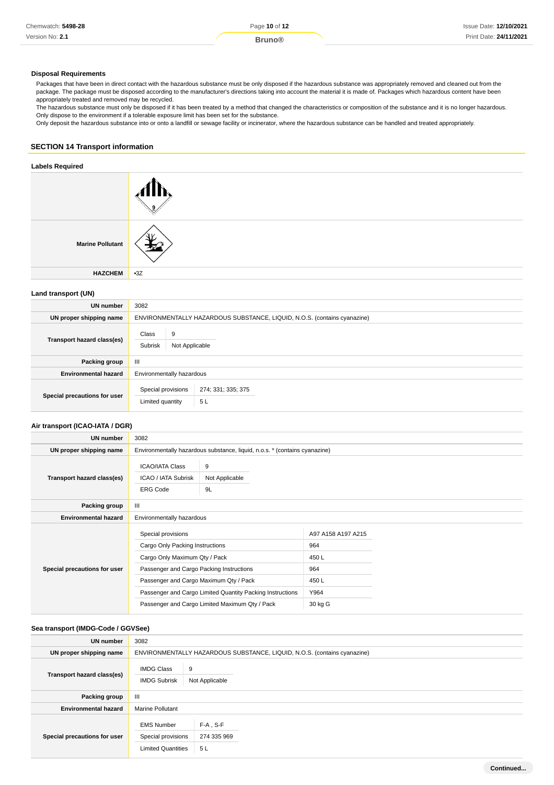| Chemwatch: 5498-28 | Page 10 of 12 | Issue Date: 12/10/2021 |
|--------------------|---------------|------------------------|
| Version No: 2.1    | Bruno®        | Print Date: 24/11/2021 |
|                    |               |                        |

#### **Disposal Requirements**

Packages that have been in direct contact with the hazardous substance must be only disposed if the hazardous substance was appropriately removed and cleaned out from the package. The package must be disposed according to the manufacturer's directions taking into account the material it is made of. Packages which hazardous content have been appropriately treated and removed may be recycled.

The hazardous substance must only be disposed if it has been treated by a method that changed the characteristics or composition of the substance and it is no longer hazardous. Only dispose to the environment if a tolerable exposure limit has been set for the substance.

Only deposit the hazardous substance into or onto a landfill or sewage facility or incinerator, where the hazardous substance can be handled and treated appropriately.

### **SECTION 14 Transport information**

### **Labels Required**

| <b>Marine Pollutant</b> |       |
|-------------------------|-------|
| <b>HAZCHEM</b>          | $-3Z$ |

## **Land transport (UN)**

| <b>UN number</b>             | 3082                                   |                                                                          |
|------------------------------|----------------------------------------|--------------------------------------------------------------------------|
| UN proper shipping name      |                                        | ENVIRONMENTALLY HAZARDOUS SUBSTANCE, LIQUID, N.O.S. (contains cyanazine) |
| Transport hazard class(es)   | Class<br>9<br>Subrisk                  | Not Applicable                                                           |
| Packing group                | Ш                                      |                                                                          |
| <b>Environmental hazard</b>  | Environmentally hazardous              |                                                                          |
| Special precautions for user | Special provisions<br>Limited quantity | 274; 331; 335; 375<br>5L                                                 |

# **Air transport (ICAO-IATA / DGR)**

| UN number                    | 3082                                                                                                                                                                         |                                                                                                             |                                                                     |  |
|------------------------------|------------------------------------------------------------------------------------------------------------------------------------------------------------------------------|-------------------------------------------------------------------------------------------------------------|---------------------------------------------------------------------|--|
| UN proper shipping name      |                                                                                                                                                                              | Environmentally hazardous substance, liquid, n.o.s. * (contains cyanazine)                                  |                                                                     |  |
| Transport hazard class(es)   | <b>ICAO/IATA Class</b><br><b>ICAO / IATA Subrisk</b><br><b>ERG Code</b>                                                                                                      | 9<br>Not Applicable<br>9L                                                                                   |                                                                     |  |
| Packing group                | Ш                                                                                                                                                                            |                                                                                                             |                                                                     |  |
| <b>Environmental hazard</b>  | Environmentally hazardous                                                                                                                                                    |                                                                                                             |                                                                     |  |
| Special precautions for user | Special provisions<br>Cargo Only Packing Instructions<br>Cargo Only Maximum Qty / Pack<br>Passenger and Cargo Packing Instructions<br>Passenger and Cargo Maximum Qty / Pack | Passenger and Cargo Limited Quantity Packing Instructions<br>Passenger and Cargo Limited Maximum Qty / Pack | A97 A158 A197 A215<br>964<br>450L<br>964<br>450L<br>Y964<br>30 kg G |  |

# **Sea transport (IMDG-Code / GGVSee)**

| <b>UN</b> number             | 3082                                                                 |                                                                          |
|------------------------------|----------------------------------------------------------------------|--------------------------------------------------------------------------|
| UN proper shipping name      |                                                                      | ENVIRONMENTALLY HAZARDOUS SUBSTANCE, LIQUID, N.O.S. (contains cyanazine) |
| Transport hazard class(es)   | <b>IMDG Class</b><br><b>IMDG Subrisk</b>                             | 9<br>Not Applicable                                                      |
| Packing group                | Ш                                                                    |                                                                          |
| <b>Environmental hazard</b>  | <b>Marine Pollutant</b>                                              |                                                                          |
| Special precautions for user | <b>EMS Number</b><br>Special provisions<br><b>Limited Quantities</b> | $F-A$ , S-F<br>274 335 969<br>5L                                         |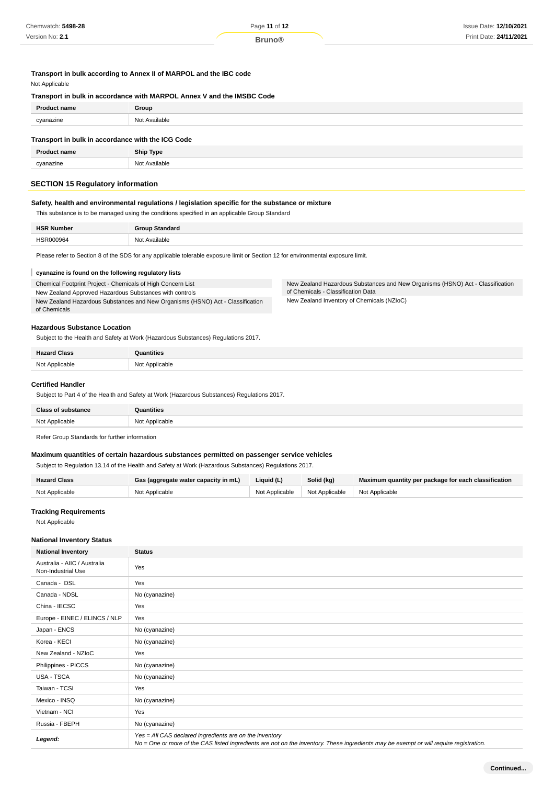### **Transport in bulk according to Annex II of MARPOL and the IBC code** Not Applicable

# **Transport in bulk in accordance with MARPOL Annex V and the IMSBC Code**

| <b>Product name</b> | Group                                             |  |
|---------------------|---------------------------------------------------|--|
| cyanazine           | Not Available                                     |  |
|                     | Transport in bulk in accordance with the ICG Code |  |
| <b>Product name</b> | <b>Ship Type</b>                                  |  |
| cyanazine           | Not Available                                     |  |

### **SECTION 15 Regulatory information**

### **Safety, health and environmental regulations / legislation specific for the substance or mixture**

This substance is to be managed using the conditions specified in an applicable Group Standard

| <b>HSR Number</b> | <b>Group Standard</b> |
|-------------------|-----------------------|
| HSR000964         | Not Available         |
|                   |                       |

of Chemicals - Classification Data

New Zealand Inventory of Chemicals (NZIoC)

New Zealand Hazardous Substances and New Organisms (HSNO) Act - Classification

Please refer to Section 8 of the SDS for any applicable tolerable exposure limit or Section 12 for environmental exposure limit.

#### I **cyanazine is found on the following regulatory lists**

Chemical Footprint Project - Chemicals of High Concern List New Zealand Approved Hazardous Substances with controls

New Zealand Hazardous Substances and New Organisms (HSNO) Act - Classification of Chemicals

## **Hazardous Substance Location**

Subject to the Health and Safety at Work (Hazardous Substances) Regulations 2017.

| <b>Hazard Class</b> | Quantities     |
|---------------------|----------------|
| Not Applicable      | Not Applicable |

### **Certified Handler**

Subject to Part 4 of the Health and Safety at Work (Hazardous Substances) Regulations 2017.

| <b>Class of substance</b> | antities            |
|---------------------------|---------------------|
| Not Annlicable            | Not Applicable<br>. |

Refer Group Standards for further information

#### **Maximum quantities of certain hazardous substances permitted on passenger service vehicles**

Subject to Regulation 13.14 of the Health and Safety at Work (Hazardous Substances) Regulations 2017.

| <b>Hazard Class</b> | Gas (aggregate water capacity in mL) | Liquid (L) | Solid (kg)                                   | Maximum quantity per package for each classification |
|---------------------|--------------------------------------|------------|----------------------------------------------|------------------------------------------------------|
| Not Applicable      | Not Applicable                       |            | Not Applicable Not Applicable Not Applicable |                                                      |

#### **Tracking Requirements**

Not Applicable

#### **National Inventory Status**

| <b>National Inventory</b>                          | <b>Status</b>                                                                                                                                                                                     |
|----------------------------------------------------|---------------------------------------------------------------------------------------------------------------------------------------------------------------------------------------------------|
| Australia - AIIC / Australia<br>Non-Industrial Use | Yes                                                                                                                                                                                               |
| Canada - DSL                                       | Yes                                                                                                                                                                                               |
| Canada - NDSL                                      | No (cyanazine)                                                                                                                                                                                    |
| China - IECSC                                      | Yes                                                                                                                                                                                               |
| Europe - EINEC / ELINCS / NLP                      | Yes                                                                                                                                                                                               |
| Japan - ENCS                                       | No (cyanazine)                                                                                                                                                                                    |
| Korea - KECI                                       | No (cyanazine)                                                                                                                                                                                    |
| New Zealand - NZIoC                                | Yes                                                                                                                                                                                               |
| Philippines - PICCS                                | No (cyanazine)                                                                                                                                                                                    |
| USA - TSCA                                         | No (cyanazine)                                                                                                                                                                                    |
| Taiwan - TCSI                                      | Yes                                                                                                                                                                                               |
| Mexico - INSQ                                      | No (cyanazine)                                                                                                                                                                                    |
| Vietnam - NCI                                      | Yes                                                                                                                                                                                               |
| Russia - FBEPH                                     | No (cyanazine)                                                                                                                                                                                    |
| Legend:                                            | Yes = All CAS declared ingredients are on the inventory<br>No = One or more of the CAS listed ingredients are not on the inventory. These ingredients may be exempt or will require registration. |